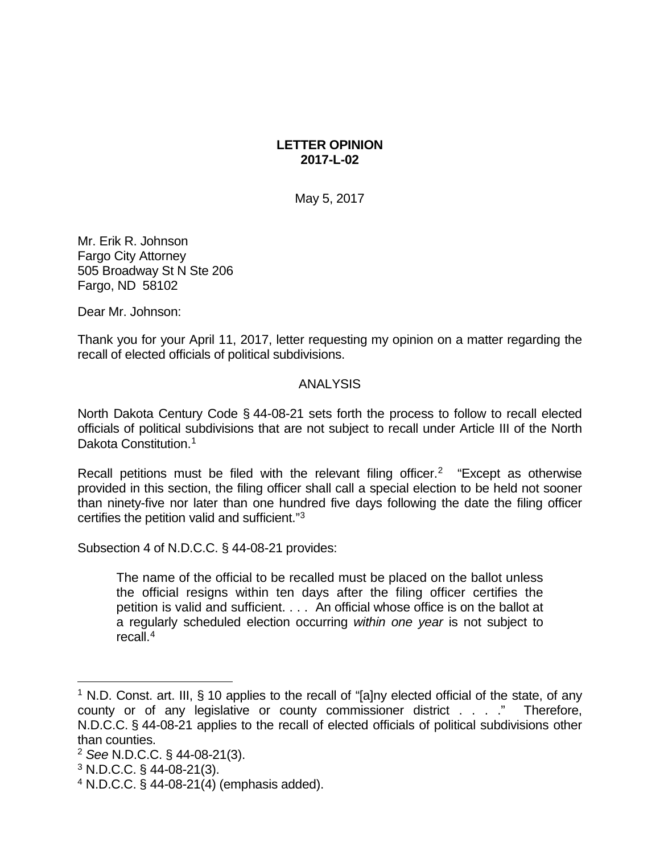## **LETTER OPINION 2017-L-02**

May 5, 2017

Mr. Erik R. Johnson Fargo City Attorney 505 Broadway St N Ste 206 Fargo, ND 58102

Dear Mr. Johnson:

Thank you for your April 11, 2017, letter requesting my opinion on a matter regarding the recall of elected officials of political subdivisions.

## ANALYSIS

North Dakota Century Code § 44-08-21 sets forth the process to follow to recall elected officials of political subdivisions that are not subject to recall under Article III of the North Dakota Constitution.<sup>[1](#page-0-0)</sup>

Recall petitions must be filed with the relevant filing officer.<sup>[2](#page-0-1)</sup> "Except as otherwise provided in this section, the filing officer shall call a special election to be held not sooner than ninety-five nor later than one hundred five days following the date the filing officer certifies the petition valid and sufficient."[3](#page-0-2)

Subsection 4 of N.D.C.C. § 44-08-21 provides:

The name of the official to be recalled must be placed on the ballot unless the official resigns within ten days after the filing officer certifies the petition is valid and sufficient. . . . An official whose office is on the ballot at a regularly scheduled election occurring *within one year* is not subject to recall[.4](#page-0-3)

<span id="page-0-0"></span><sup>&</sup>lt;sup>1</sup> N.D. Const. art. III, § 10 applies to the recall of "[a]ny elected official of the state, of any county or of any legislative or county commissioner district . . . ." Therefore, N.D.C.C. § 44-08-21 applies to the recall of elected officials of political subdivisions other than counties.

<span id="page-0-1"></span><sup>2</sup> *See* N.D.C.C. § 44-08-21(3).

<span id="page-0-2"></span> $3$  N.D.C.C. § 44-08-21(3).

<span id="page-0-3"></span><sup>4</sup> N.D.C.C. § 44-08-21(4) (emphasis added).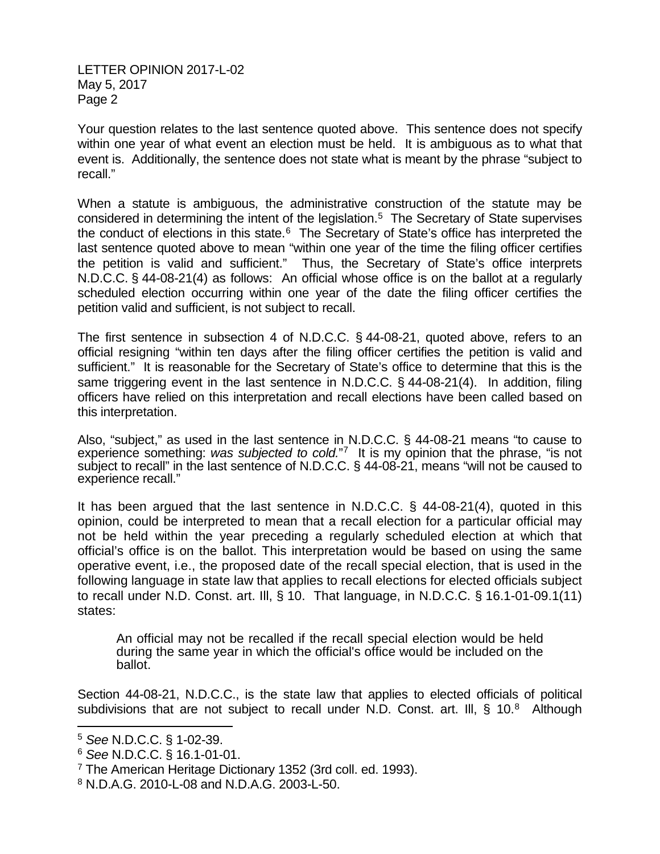LETTER OPINION 2017-L-02 May 5, 2017 Page 2

Your question relates to the last sentence quoted above. This sentence does not specify within one year of what event an election must be held. It is ambiguous as to what that event is. Additionally, the sentence does not state what is meant by the phrase "subject to recall."

When a statute is ambiguous, the administrative construction of the statute may be considered in determining the intent of the legislation.[5](#page-1-0) The Secretary of State supervises the conduct of elections in this state.<sup>6</sup> The Secretary of State's office has interpreted the last sentence quoted above to mean "within one year of the time the filing officer certifies the petition is valid and sufficient." Thus, the Secretary of State's office interprets N.D.C.C. § 44-08-21(4) as follows: An official whose office is on the ballot at a regularly scheduled election occurring within one year of the date the filing officer certifies the petition valid and sufficient, is not subject to recall.

The first sentence in subsection 4 of N.D.C.C. § 44-08-21, quoted above, refers to an official resigning "within ten days after the filing officer certifies the petition is valid and sufficient." It is reasonable for the Secretary of State's office to determine that this is the same triggering event in the last sentence in N.D.C.C. § 44-08-21(4). In addition, filing officers have relied on this interpretation and recall elections have been called based on this interpretation.

Also, "subject," as used in the last sentence in N.D.C.C. § 44-08-21 means "to cause to experience something: *was subjected to cold.*"[7](#page-1-2) It is my opinion that the phrase, "is not subject to recall" in the last sentence of N.D.C.C. § 44-08-21, means "will not be caused to experience recall."

It has been argued that the last sentence in N.D.C.C. § 44-08-21(4), quoted in this opinion, could be interpreted to mean that a recall election for a particular official may not be held within the year preceding a regularly scheduled election at which that official's office is on the ballot. This interpretation would be based on using the same operative event, i.e., the proposed date of the recall special election, that is used in the following language in state law that applies to recall elections for elected officials subject to recall under N.D. Const. art. Ill, § 10. That language, in N.D.C.C. § 16.1-01-09.1(11) states:

An official may not be recalled if the recall special election would be held during the same year in which the official's office would be included on the ballot.

Section 44-08-21, N.D.C.C., is the state law that applies to elected officials of political subdivisions that are not subject to recall under N.D. Const. art. III,  $\S$  10.<sup>[8](#page-1-3)</sup> Although

<span id="page-1-0"></span> <sup>5</sup> *See* N.D.C.C. § 1-02-39.

<span id="page-1-1"></span><sup>6</sup> *See* N.D.C.C. § 16.1-01-01.

<span id="page-1-2"></span><sup>&</sup>lt;sup>7</sup> The American Heritage Dictionary 1352 (3rd coll. ed. 1993).

<span id="page-1-3"></span><sup>8</sup> N.D.A.G. 2010-L-08 and N.D.A.G. 2003-L-50.